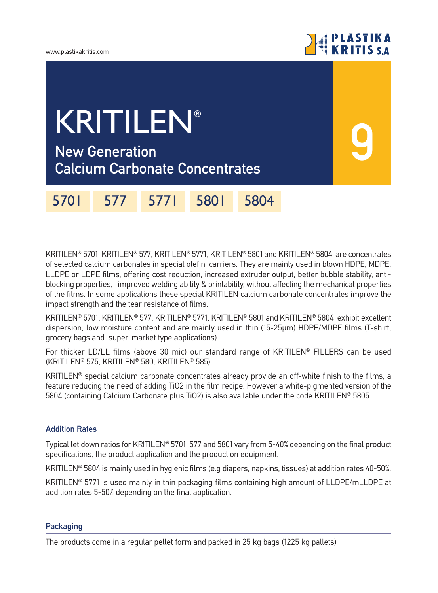

**9**

## **New Generation** KRITILEN**®**

**Calcium Carbonate Concentrates**

5701 577 5771 5801 5804

KRITILEN® 5701, KRITILEN® 577, KRITILEN® 5771, KRITILEN® 5801 and KRITILEN® 5804 are concentrates of selected calcium carbonates in special olefin carriers. They are mainly used in blown HDPE, MDPE, LLDPE or LDPE films, offering cost reduction, increased extruder output, better bubble stability, antiblocking properties, improved welding ability & printability, without affecting the mechanical properties of the films. In some applications these special KRITILEN calcium carbonate concentrates improve the impact strength and the tear resistance of films.

KRITILEN® 5701, KRITILEN® 577, KRITILEN® 5771, KRITILEN® 5801 and KRITILEN® 5804 exhibit excellent dispersion, low moisture content and are mainly used in thin (15-25µm) HDPE/MDPE films (T-shirt, grocery bags and super-market type applications).

For thicker LD/LL films (above 30 mic) our standard range of KRITILEN® FILLERS can be used (KRITILEN® 575, KRITILEN® 580, KRITILEN® 585).

KRITILEN® special calcium carbonate concentrates already provide an off-white finish to the films, a feature reducing the need of adding TiO2 in the film recipe. However a white-pigmented version of the 5804 (containing Calcium Carbonate plus TiO2) is also available under the code KRITILEN® 5805.

## **Addition Rates**

Typical let down ratios for KRITILEN® 5701, 577 and 5801 vary from 5-40% depending on the final product specifications, the product application and the production equipment.

KRITILEN® 5804 is mainly used in hygienic films (e.g diapers, napkins, tissues) at addition rates 40-50%.

KRITILEN® 5771 is used mainly in thin packaging films containing high amount of LLDPE/mLLDPE at addition rates 5-50% depending on the final application.

## **Packaging**

The products come in a regular pellet form and packed in 25 kg bags (1225 kg pallets)